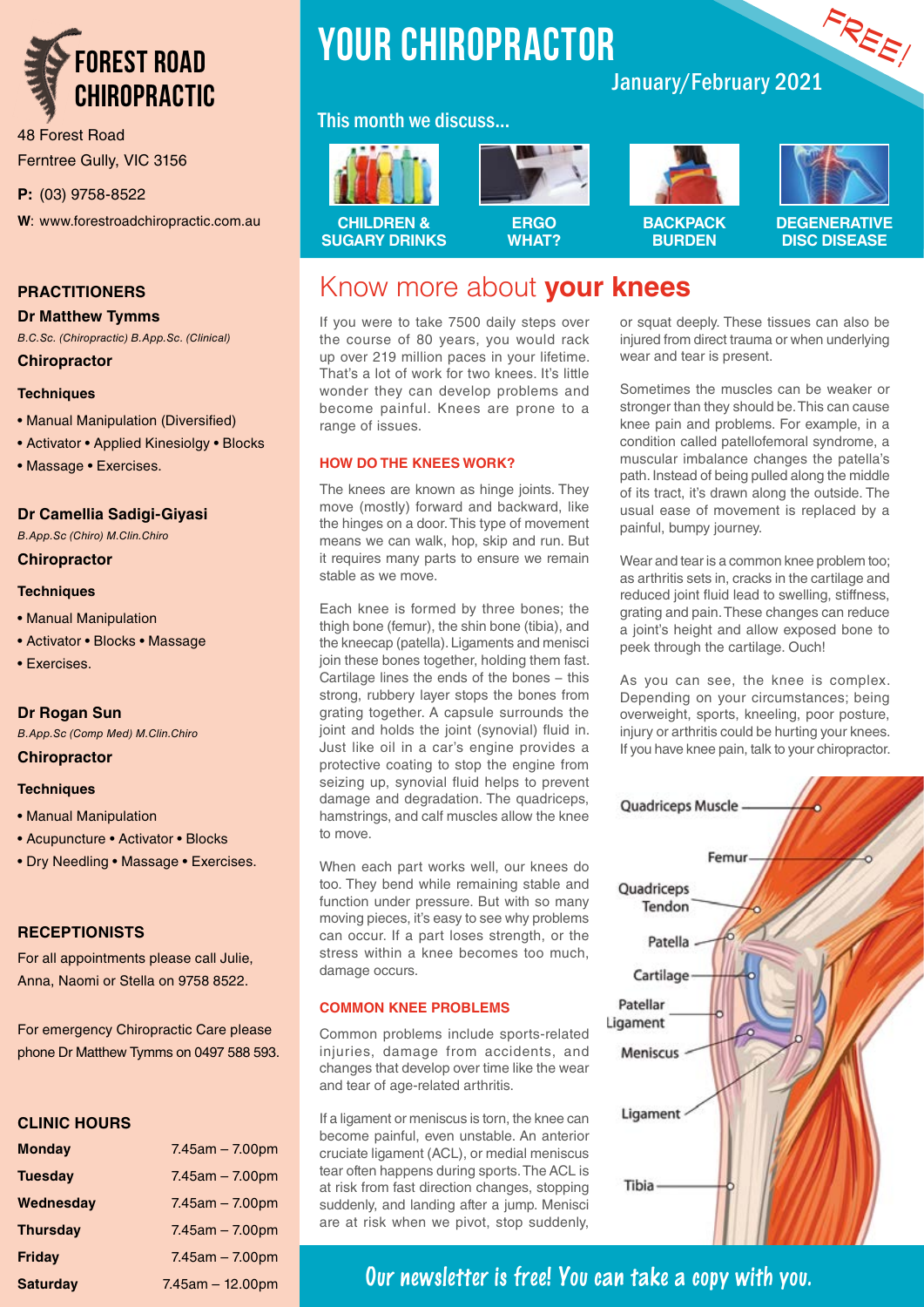

48 Forest Road Ferntree Gully, VIC 3156

**P:** (03) 9758-8522

**W**: www.forestroadchiropractic.com.au

#### **PRACTITIONERS**

#### **Dr Matthew Tymms**

*B.C.Sc. (Chiropractic) B.App.Sc. (Clinical)* **Chiropractor**

### **Techniques**

- Manual Manipulation (Diversified)
- Activator Applied Kinesiolgy Blocks
- Massage Exercises.

#### **Dr Camellia Sadigi-Giyasi**

*B.App.Sc (Chiro) M.Clin.Chiro*

#### **Chiropractor**

#### **Techniques**

- Manual Manipulation
- Activator Blocks Massage
- Exercises.

#### **Dr Rogan Sun**

*B.App.Sc (Comp Med) M.Clin.Chiro*

#### **Chiropractor**

#### **Techniques**

- Manual Manipulation
- Acupuncture Activator Blocks
- Dry Needling Massage Exercises.

#### **RECEPTIONISTS**

For all appointments please call Julie, Anna, Naomi or Stella on 9758 8522.

For emergency Chiropractic Care please phone Dr Matthew Tymms on 0497 588 593.

#### **CLINIC HOURS**

| <b>Monday</b>   | $7.45$ am $-7.00$ pm  |
|-----------------|-----------------------|
| <b>Tuesday</b>  | $7.45$ am $-7.00$ pm  |
| Wednesday       | $7.45$ am $- 7.00$ pm |
| <b>Thursday</b> | $7.45$ am - $7.00$ pm |
| Friday          | $7.45$ am $- 7.00$ pm |
| <b>Saturday</b> | $7.45$ am $-12.00$ pm |

# **YOUR CHIROPRACTOR**

#### This month we discuss...



# **Carl Links**



#### **BACKPACK BURDEN**



FREE!

**DEGENERATIVE DISC DISEASE**

# Know more about **your knees**

If you were to take 7500 daily steps over the course of 80 years, you would rack up over 219 million paces in your lifetime. That's a lot of work for two knees. It's little wonder they can develop problems and become painful. Knees are prone to a range of issues.

#### **HOW DO THE KNEES WORK?**

The knees are known as hinge joints. They move (mostly) forward and backward, like the hinges on a door. This type of movement means we can walk, hop, skip and run. But it requires many parts to ensure we remain stable as we move.

Each knee is formed by three bones; the thigh bone (femur), the shin bone (tibia), and the kneecap (patella). Ligaments and menisci join these bones together, holding them fast. Cartilage lines the ends of the bones − this strong, rubbery layer stops the bones from grating together. A capsule surrounds the joint and holds the joint (synovial) fluid in. Just like oil in a car's engine provides a protective coating to stop the engine from seizing up, synovial fluid helps to prevent damage and degradation. The quadriceps, hamstrings, and calf muscles allow the knee to move.

When each part works well, our knees do too. They bend while remaining stable and function under pressure. But with so many moving pieces, it's easy to see why problems can occur. If a part loses strength, or the stress within a knee becomes too much, damage occurs.

#### **COMMON KNEE PROBLEMS**

Common problems include sports-related injuries, damage from accidents, and changes that develop over time like the wear and tear of age-related arthritis.

If a ligament or meniscus is torn, the knee can become painful, even unstable. An anterior cruciate ligament (ACL), or medial meniscus tear often happens during sports. The ACL is at risk from fast direction changes, stopping suddenly, and landing after a jump. Menisci are at risk when we pivot, stop suddenly,

or squat deeply. These tissues can also be injured from direct trauma or when underlying wear and tear is present.

January/February 2021

Sometimes the muscles can be weaker or stronger than they should be. This can cause knee pain and problems. For example, in a condition called patellofemoral syndrome, a muscular imbalance changes the patella's path. Instead of being pulled along the middle of its tract, it's drawn along the outside. The usual ease of movement is replaced by a painful, bumpy journey.

Wear and tear is a common knee problem too; as arthritis sets in, cracks in the cartilage and reduced joint fluid lead to swelling, stiffness, grating and pain. These changes can reduce a joint's height and allow exposed bone to peek through the cartilage. Ouch!

As you can see, the knee is complex. Depending on your circumstances; being overweight, sports, kneeling, poor posture, injury or arthritis could be hurting your knees. If you have knee pain, talk to your chiropractor.



## **Our newsletter is free! You can take a copy with you.**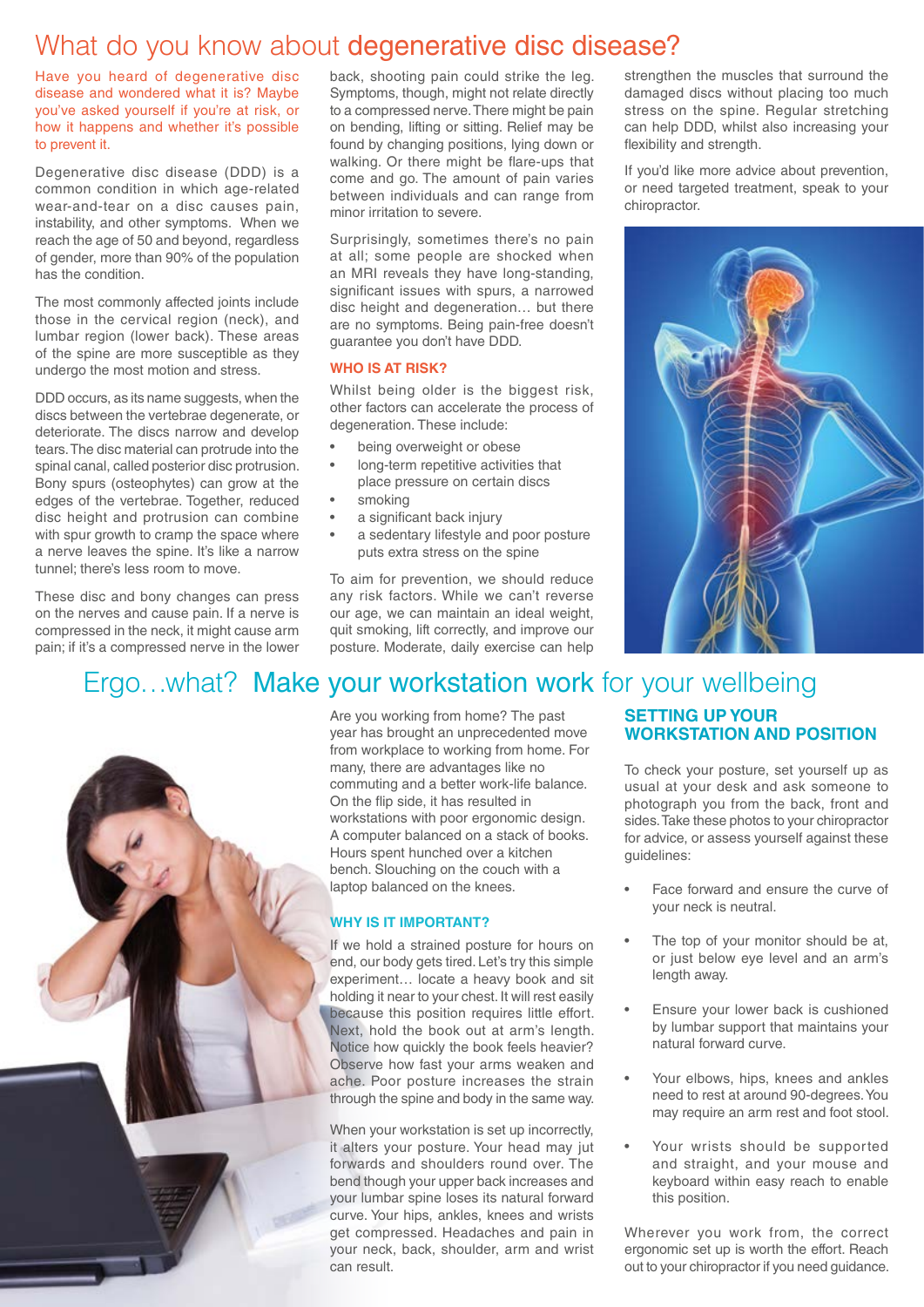# What do you know about degenerative disc disease?

Have you heard of degenerative disc disease and wondered what it is? Maybe you've asked yourself if you're at risk, or how it happens and whether it's possible to prevent it.

Degenerative disc disease (DDD) is a common condition in which age-related wear-and-tear on a disc causes pain, instability, and other symptoms. When we reach the age of 50 and beyond, regardless of gender, more than 90% of the population has the condition.

The most commonly affected joints include those in the cervical region (neck), and lumbar region (lower back). These areas of the spine are more susceptible as they undergo the most motion and stress.

DDD occurs, as its name suggests, when the discs between the vertebrae degenerate, or deteriorate. The discs narrow and develop tears. The disc material can protrude into the spinal canal, called posterior disc protrusion. Bony spurs (osteophytes) can grow at the edges of the vertebrae. Together, reduced disc height and protrusion can combine with spur growth to cramp the space where a nerve leaves the spine. It's like a narrow tunnel; there's less room to move.

These disc and bony changes can press on the nerves and cause pain. If a nerve is compressed in the neck, it might cause arm pain; if it's a compressed nerve in the lower back, shooting pain could strike the leg. Symptoms, though, might not relate directly to a compressed nerve. There might be pain on bending, lifting or sitting. Relief may be found by changing positions, lying down or walking. Or there might be flare-ups that come and go. The amount of pain varies between individuals and can range from minor irritation to severe.

Surprisingly, sometimes there's no pain at all; some people are shocked when an MRI reveals they have long-standing, significant issues with spurs, a narrowed disc height and degeneration… but there are no symptoms. Being pain-free doesn't guarantee you don't have DDD.

#### **WHO IS AT RISK?**

Whilst being older is the biggest risk, other factors can accelerate the process of degeneration. These include:

- being overweight or obese
- long-term repetitive activities that place pressure on certain discs
- smoking
- a significant back injury
- a sedentary lifestyle and poor posture puts extra stress on the spine

To aim for prevention, we should reduce any risk factors. While we can't reverse our age, we can maintain an ideal weight, quit smoking, lift correctly, and improve our posture. Moderate, daily exercise can help

strengthen the muscles that surround the damaged discs without placing too much stress on the spine. Regular stretching can help DDD, whilst also increasing your flexibility and strength.

If you'd like more advice about prevention, or need targeted treatment, speak to your chiropractor.



## Ergo…what? Make your workstation work for your wellbeing

Are you working from home? The past year has brought an unprecedented move from workplace to working from home. For many, there are advantages like no commuting and a better work-life balance. On the flip side, it has resulted in workstations with poor ergonomic design. A computer balanced on a stack of books. Hours spent hunched over a kitchen bench. Slouching on the couch with a laptop balanced on the knees.

#### **WHY IS IT IMPORTANT?**

If we hold a strained posture for hours on end, our body gets tired. Let's try this simple experiment… locate a heavy book and sit holding it near to your chest. It will rest easily because this position requires little effort. Next, hold the book out at arm's length. Notice how quickly the book feels heavier? Observe how fast your arms weaken and ache. Poor posture increases the strain through the spine and body in the same way.

When your workstation is set up incorrectly, it alters your posture. Your head may jut forwards and shoulders round over. The bend though your upper back increases and your lumbar spine loses its natural forward curve. Your hips, ankles, knees and wrists get compressed. Headaches and pain in your neck, back, shoulder, arm and wrist can result.

#### **SETTING UP YOUR WORKSTATION AND POSITION**

To check your posture, set yourself up as usual at your desk and ask someone to photograph you from the back, front and sides. Take these photos to your chiropractor for advice, or assess yourself against these guidelines:

- Face forward and ensure the curve of your neck is neutral.
- The top of your monitor should be at, or just below eye level and an arm's length away.
- Ensure your lower back is cushioned by lumbar support that maintains your natural forward curve.
- Your elbows, hips, knees and ankles need to rest at around 90-degrees. You may require an arm rest and foot stool.
- Your wrists should be supported and straight, and your mouse and keyboard within easy reach to enable this position.

Wherever you work from, the correct ergonomic set up is worth the effort. Reach out to your chiropractor if you need guidance.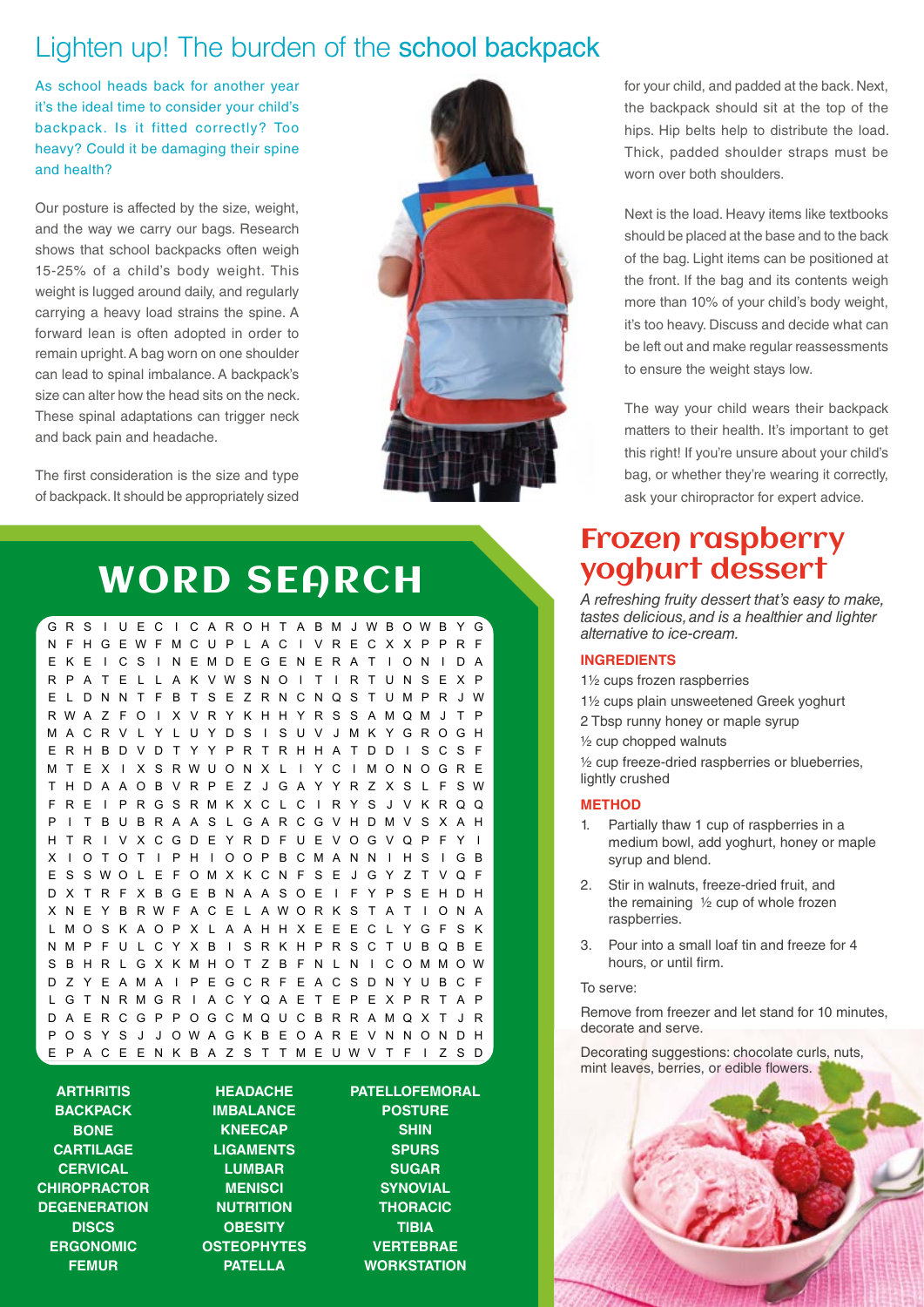# Lighten up! The burden of the school backpack

As school heads back for another year it's the ideal time to consider your child's backpack. Is it fitted correctly? Too heavy? Could it be damaging their spine and health?

Our posture is affected by the size, weight, and the way we carry our bags. Research shows that school backpacks often weigh 15-25% of a child's body weight. This weight is lugged around daily, and regularly carrying a heavy load strains the spine. A forward lean is often adopted in order to remain upright. A bag worn on one shoulder can lead to spinal imbalance. A backpack's size can alter how the head sits on the neck. These spinal adaptations can trigger neck and back pain and headache.

The first consideration is the size and type of backpack. It should be appropriately sized



# WORD SEARCH

GR S I U E C I C A ROH T A BM JWB OWB Y G N F HGEWFMCUP L AC I VRECX X P PR F EKE I CS I NEMDEGENERA T I ON I DA RP A T E L L A K VWSNO I T I R T UNS E X P E L DNNT F B T SE ZRNCNQS TUMPR JW RWA Z F O I X V R Y K HH Y R S S AMQM J T P MACRV L Y L UYDS I SUV JMKYGROGH ERHBDVDTYYPRTRHHATDD I SCSF MT E X I X S RWUON X L I Y C I MONOGR E T HDA AOB VRP E Z J GA Y YR Z X S L F SW FRE I PRGSRMKXC L C I RYS J VKRQQ P I T BUBRAAS LGARCGVHDMVSXAH HTR I VXCGDEYRDFUEVOGVQP F Y I X I OTOT I PH I OOPBCMANN I HS I GB E S SWO L E F OMX K C N F S E J G Y Z T V Q F DXTRFXBGEBNAASOE I FYPSEHDH X N E Y B RWF A C E L AWOR K S T A T I ON A LMOS K AOP X L A AHHX E E EC L YGF S K NMP FU L CYXB I SRKHPRSCTUBQBE S B H R L G X KMHO T Z B F N L N I COMMOW DZYEAMA I PEGCRFEACSDNYUBCF L GT NRMGR I ACYQA E T E P E X PR T A P DA ERCGP POGCMQUCBRRAMQX T J R P O S Y S J J OWA G K B E O A R E V N NON D H E P A C E E N K B A Z S T TME UWV T F I Z S D

**ARTHRITIS BACKPACK BONE CARTILAGE CERVICAL CHIROPRACTOR DEGENERATION DISCS ERGONOMIC FEMUR**

**HEADACHE IMBALANCE KNEECAP LIGAMENTS LUMBAR MENISCI NUTRITION OBESITY OSTEOPHYTES PATELLA**

**PATELLOFEMORAL POSTURE SHIN SPURS SUGAR SYNOVIAL THORACIC TIBIA VERTEBRAE WORKSTATION**

for your child, and padded at the back. Next, the backpack should sit at the top of the hips. Hip belts help to distribute the load. Thick, padded shoulder straps must be worn over both shoulders.

Next is the load. Heavy items like textbooks should be placed at the base and to the back of the bag. Light items can be positioned at the front. If the bag and its contents weigh more than 10% of your child's body weight, it's too heavy. Discuss and decide what can be left out and make regular reassessments to ensure the weight stays low.

The way your child wears their backpack matters to their health. It's important to get this right! If you're unsure about your child's bag, or whether they're wearing it correctly, ask your chiropractor for expert advice.

# Frozen raspberry yoghurt dessert

*A refreshing fruity dessert that's easy to make, tastes delicious, and is a healthier and lighter alternative to ice-cream.*

#### **INGREDIENTS**

ARTHRITIS BACKPACK BONE CARTILAGE CERVICAL

DISCS

FEMUR HEADACHE IMBALANCE KNEECAP LIGAMENTS LUMBAR MENISCI NUTRITION OBESITY

PATELLA

POSTURE SHIN SPURS SUGAR SYNOVIAL THORACIC TIBIA

1½ cups frozen raspberries

and a 1<sup>1</sup>% cups plain unsweetened Greek yoghurt

**2** Tbsp runny honey or maple syrup

½ cup chopped walnuts ERGONOMIC

> ½ cup freeze-dried raspberries or blueberries, lightly crushed

#### **METHOD**

- 1. Partially thaw 1 cup of raspberries in a medium bowl, add yoghurt, honey or maple syrup and blend.
- 2. Stir in walnuts, freeze-dried fruit, and the remaining ½ cup of whole frozen raspberries. OSTEOPHYTES Patello de la <mark>Tal</mark>
	- 3. Pour into a small loaf tin and freeze for 4 hours, or until firm.

#### To serve:

Remove from freezer and let stand for 10 minutes, decorate and serve.

**Decorating suggestions: chocolate curls, nuts, and the curls** mint leaves, berries, or edible flowers. VERTEBRAE